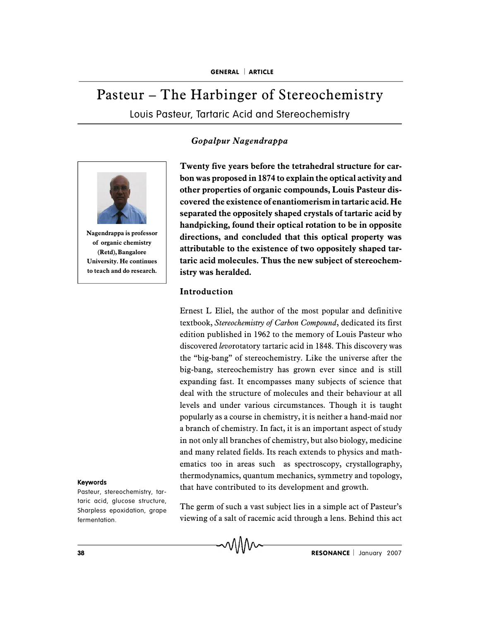# Pasteur – The Harbinger of Stereochemistry

Louis Pasteur, Tartaric Acid and Stereochemistry

*Gopalpur Nagendrappa*



**Nagendrappa is professor of organic chemistry (Retd), Bangalore University. He continues to teach and do research.**

# Keywords

Pasteur, stereochemistry, tartaric acid, glucose structure, Sharpless epoxidation, grape fermentation.

**Twenty five years before the tetrahedral structure for carbon was proposed in 1874 to explain the optical activity and other properties of organic compounds, Louis Pasteur discovered the existence of enantiomerism in tartaric acid. He separated the oppositely shaped crystals of tartaric acid by handpicking, found their optical rotation to be in opposite directions, and concluded that this optical property was attributable to the existence of two oppositely shaped tartaric acid molecules. Thus the new subject of stereochemistry was heralded.**

# **Introduction**

Ernest L Eliel, the author of the most popular and definitive textbook, *Stereochemistry of Carbon Compound*, dedicated its first edition published in 1962 to the memory of Louis Pasteur who discovered *levo*rotatory tartaric acid in 1848. This discovery was the "big-bang" of stereochemistry. Like the universe after the big-bang, stereochemistry has grown ever since and is still expanding fast. It encompasses many subjects of science that deal with the structure of molecules and their behaviour at all levels and under various circumstances. Though it is taught popularly as a course in chemistry, it is neither a hand-maid nor a branch of chemistry. In fact, it is an important aspect of study in not only all branches of chemistry, but also biology, medicine and many related fields. Its reach extends to physics and mathematics too in areas such as spectroscopy, crystallography, thermodynamics, quantum mechanics, symmetry and topology, that have contributed to its development and growth.

The germ of such a vast subject lies in a simple act of Pasteur's viewing of a salt of racemic acid through a lens. Behind this act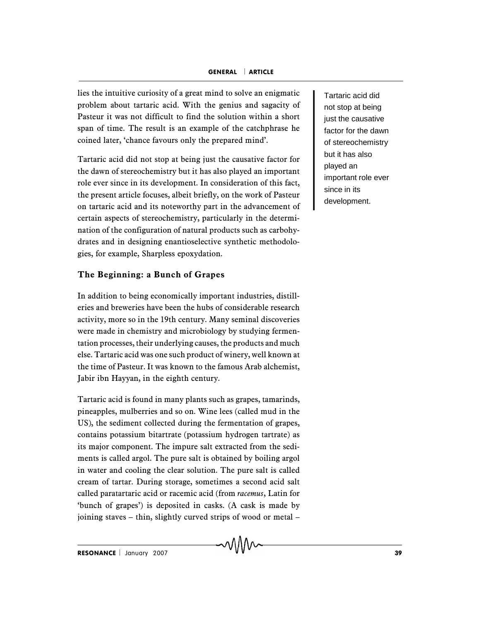lies the intuitive curiosity of a great mind to solve an enigmatic problem about tartaric acid. With the genius and sagacity of Pasteur it was not difficult to find the solution within a short span of time. The result is an example of the catchphrase he coined later, 'chance favours only the prepared mind'.

Tartaric acid did not stop at being just the causative factor for the dawn of stereochemistry but it has also played an important role ever since in its development. In consideration of this fact, the present article focuses, albeit briefly, on the work of Pasteur on tartaric acid and its noteworthy part in the advancement of certain aspects of stereochemistry, particularly in the determination of the configuration of natural products such as carbohydrates and in designing enantioselective synthetic methodologies, for example, Sharpless epoxydation.

# **The Beginning: a Bunch of Grapes**

In addition to being economically important industries, distilleries and breweries have been the hubs of considerable research activity, more so in the 19th century. Many seminal discoveries were made in chemistry and microbiology by studying fermentation processes, their underlying causes, the products and much else. Tartaric acid was one such product of winery, well known at the time of Pasteur. It was known to the famous Arab alchemist, Jabir ibn Hayyan, in the eighth century.

Tartaric acid is found in many plants such as grapes, tamarinds, pineapples, mulberries and so on. Wine lees (called mud in the US), the sediment collected during the fermentation of grapes, contains potassium bitartrate (potassium hydrogen tartrate) as its major component. The impure salt extracted from the sediments is called argol. The pure salt is obtained by boiling argol in water and cooling the clear solution. The pure salt is called cream of tartar. During storage, sometimes a second acid salt called paratartaric acid or racemic acid (from *racemus*, Latin for 'bunch of grapes') is deposited in casks. (A cask is made by joining staves  $-$  thin, slightly curved strips of wood or metal  $-$ 

not stop at being just the causative factor for the dawn of stereochemistry but it has also played an important role ever since in its development.

Tartaric acid did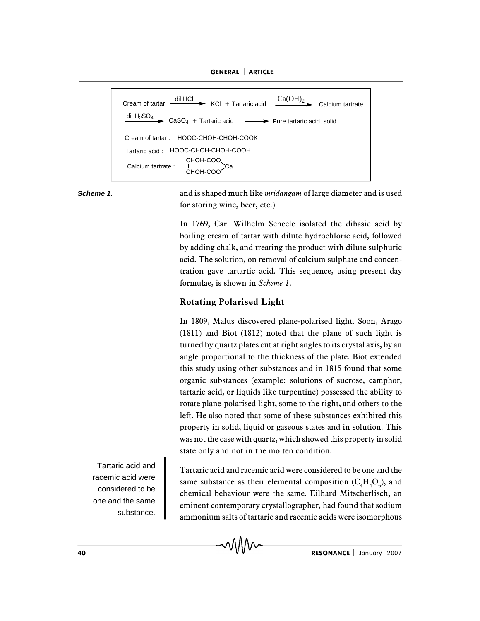GENERAL | ARTICLE



**Scheme 1.**

and is shaped much like *mridangam* of large diameter and is used for storing wine, beer, etc.)

In 1769, Carl Wilhelm Scheele isolated the dibasic acid by boiling cream of tartar with dilute hydrochloric acid, followed by adding chalk, and treating the product with dilute sulphuric acid. The solution, on removal of calcium sulphate and concentration gave tartartic acid. This sequence, using present day formulae, is shown in *Scheme 1*.

# **Rotating Polarised Light**

In 1809, Malus discovered plane-polarised light. Soon, Arago (1811) and Biot (1812) noted that the plane of such light is turned by quartz plates cut at right angles to its crystal axis, by an angle proportional to the thickness of the plate. Biot extended this study using other substances and in 1815 found that some organic substances (example: solutions of sucrose, camphor, tartaric acid, or liquids like turpentine) possessed the ability to rotate plane-polarised light, some to the right, and others to the left. He also noted that some of these substances exhibited this property in solid, liquid or gaseous states and in solution. This was not the case with quartz, which showed this property in solid state only and not in the molten condition.

Tartaric acid and racemic acid were considered to be one and the same substance.

Tartaric acid and racemic acid were considered to be one and the same substance as their elemental composition  $(C<sub>A</sub>H<sub>A</sub>O<sub>6</sub>)$ , and chemical behaviour were the same. Eilhard Mitscherlisch, an eminent contemporary crystallographer, had found that sodium ammonium salts of tartaric and racemic acids were isomorphous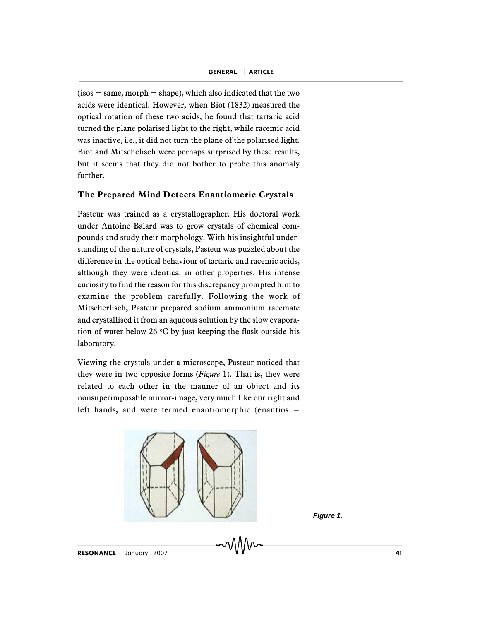$(isos = same, morph = shape), which also indicated that the two$ acids were identical. However, when Biot (1832) measured the optical rotation of these two acids, he found that tartaric acid turned the plane polarised light to the right, while racemic acid was inactive, i.e., it did not turn the plane of the polarised light. Biot and Mitschelisch were perhaps surprised by these results, but it seems that they did not bother to probe this anomaly further.

# **The Prepared Mind Detects Enantiomeric Crystals**

Pasteur was trained as a crystallographer. His doctoral work under Antoine Balard was to grow crystals of chemical compounds and study their morphology. With his insightful understanding of the nature of crystals, Pasteur was puzzled about the difference in the optical behaviour of tartaric and racemic acids, although they were identical in other properties. His intense curiosity to find the reason for this discrepancy prompted him to examine the problem carefully. Following the work of Mitscherlisch, Pasteur prepared sodium ammonium racemate and crystallised it from an aqueous solution by the slow evaporation of water below 26  $\mathrm{C}$  by just keeping the flask outside his laboratory.

Viewing the crystals under a microscope, Pasteur noticed that they were in two opposite forms (*Figure* 1). That is, they were related to each other in the manner of an object and its nonsuperimposable mirror-image, very much like our right and left hands, and were termed enantiomorphic (enantios  $=$ 



**Figure 1.**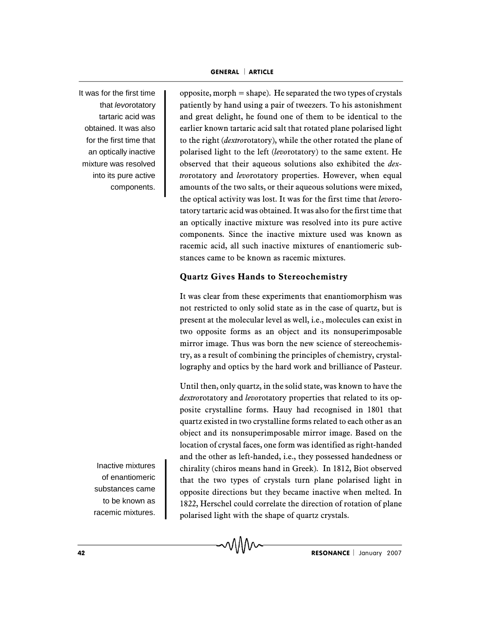It was for the first time that levorotatory tartaric acid was obtained. It was also for the first time that an optically inactive mixture was resolved into its pure active components.

opposite, morph  $=$  shape). He separated the two types of crystals patiently by hand using a pair of tweezers. To his astonishment and great delight, he found one of them to be identical to the earlier known tartaric acid salt that rotated plane polarised light to the right (*dextro*rotatory), while the other rotated the plane of polarised light to the left (*levo*rotatory) to the same extent. He observed that their aqueous solutions also exhibited the *dextro*rotatory and *levo*rotatory properties. However, when equal amounts of the two salts, or their aqueous solutions were mixed, the optical activity was lost. It was for the first time that *levo*rotatory tartaric acid was obtained. It was also for the first time that an optically inactive mixture was resolved into its pure active components. Since the inactive mixture used was known as racemic acid, all such inactive mixtures of enantiomeric substances came to be known as racemic mixtures.

# **Quartz Gives Hands to Stereochemistry**

It was clear from these experiments that enantiomorphism was not restricted to only solid state as in the case of quartz, but is present at the molecular level as well, i.e., molecules can exist in two opposite forms as an object and its nonsuperimposable mirror image. Thus was born the new science of stereochemistry, as a result of combining the principles of chemistry, crystallography and optics by the hard work and brilliance of Pasteur.

Until then, only quartz, in the solid state, was known to have the *dextro*rotatory and *levo*rotatory properties that related to its opposite crystalline forms. Hauy had recognised in 1801 that quartz existed in two crystalline forms related to each other as an object and its nonsuperimposable mirror image. Based on the location of crystal faces, one form was identified as right-handed and the other as left-handed, i.e., they possessed handedness or chirality (chiros means hand in Greek). In 1812, Biot observed that the two types of crystals turn plane polarised light in opposite directions but they became inactive when melted. In 1822, Herschel could correlate the direction of rotation of plane polarised light with the shape of quartz crystals.

Inactive mixtures of enantiomeric substances came to be known as racemic mixtures.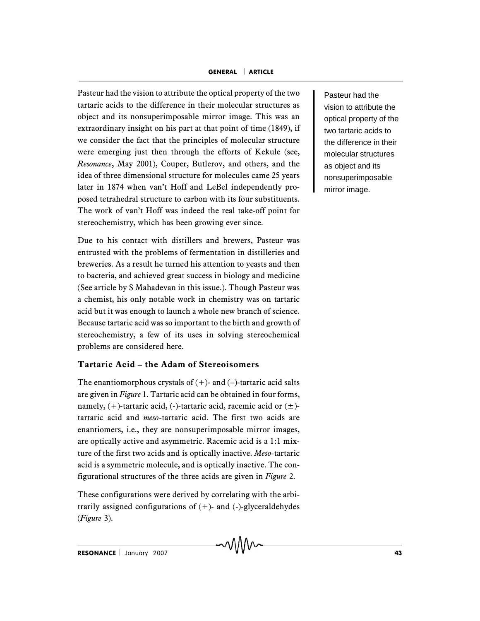#### GENERAL | ARTICLE

Pasteur had the vision to attribute the optical property of the two tartaric acids to the difference in their molecular structures as object and its nonsuperimposable mirror image. This was an extraordinary insight on his part at that point of time (1849), if we consider the fact that the principles of molecular structure were emerging just then through the efforts of Kekule (see, *Resonance*, May 2001), Couper, Butlerov, and others, and the idea of three dimensional structure for molecules came 25 years later in 1874 when van't Hoff and LeBel independently proposed tetrahedral structure to carbon with its four substituents. The work of van't Hoff was indeed the real take-off point for stereochemistry, which has been growing ever since.

Due to his contact with distillers and brewers, Pasteur was entrusted with the problems of fermentation in distilleries and breweries. As a result he turned his attention to yeasts and then to bacteria, and achieved great success in biology and medicine (See article by S Mahadevan in this issue.). Though Pasteur was a chemist, his only notable work in chemistry was on tartaric acid but it was enough to launch a whole new branch of science. Because tartaric acid was so important to the birth and growth of stereochemistry, a few of its uses in solving stereochemical problems are considered here.

# **Tartaric Acid – the Adam of Stereoisomers**

The enantiomorphous crystals of  $(+)$ - and  $(-)$ -tartaric acid salts are given in *Figure* 1. Tartaric acid can be obtained in four forms, namely,  $(+)$ -tartaric acid,  $(-)$ -tartaric acid, racemic acid or  $(±)$ tartaric acid and *meso*-tartaric acid. The first two acids are enantiomers, i.e., they are nonsuperimposable mirror images, are optically active and asymmetric. Racemic acid is a 1:1 mixture of the first two acids and is optically inactive. *Meso-*tartaric acid is a symmetric molecule, and is optically inactive. The configurational structures of the three acids are given in *Figure* 2.

These configurations were derived by correlating with the arbitrarily assigned configurations of  $(+)$ - and  $(-)$ -glyceraldehydes (*Figure* 3).

Pasteur had the vision to attribute the optical property of the two tartaric acids to the difference in their molecular structures as object and its nonsuperimposable mirror image.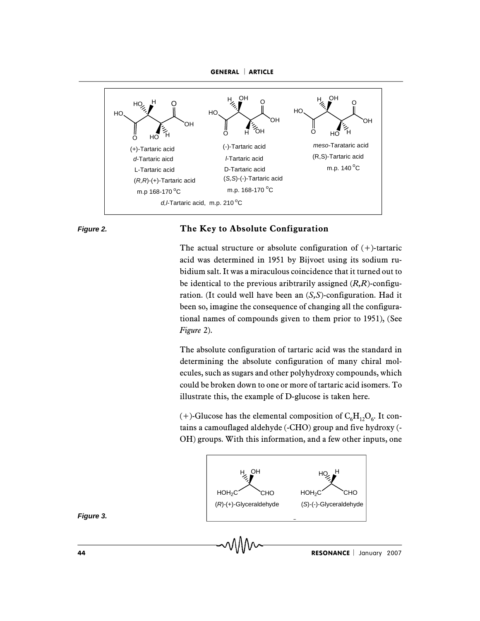



**Figure 2.**

# **The Key to Absolute Configuration**

The actual structure or absolute configuration of  $(+)$ -tartaric acid was determined in 1951 by Bijvoet using its sodium rubidium salt. It was a miraculous coincidence that it turned out to be identical to the previous aribtrarily assigned (*R,R*)-configuration. (It could well have been an (*S,S*)-configuration. Had it been so, imagine the consequence of changing all the configurational names of compounds given to them prior to 1951), (See *Figure* 2).

The absolute configuration of tartaric acid was the standard in determining the absolute configuration of many chiral molecules, such as sugars and other polyhydroxy compounds, which could be broken down to one or more of tartaric acid isomers. To illustrate this, the example of D-glucose is taken here.

 $(+)$ -Glucose has the elemental composition of  $C_6H_{12}O_6$ . It contains a camouflaged aldehyde (-CHO) group and five hydroxy (- OH) groups. With this information, and a few other inputs, one



**Figure 3.**

as a set of the set of the set of the set of the set of the set of the set of the set of the set of the set of the set of the set of the set of the set of the set of the set of the set of the set of the set of the set of t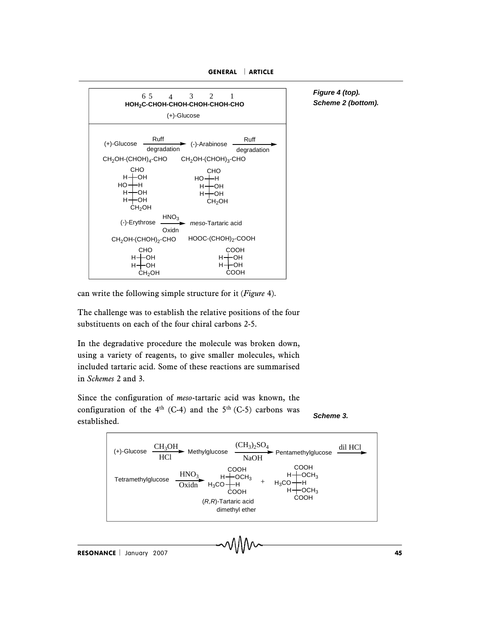

GENERAL ARTICLE

can write the following simple structure for it (*Figure* 4).

The challenge was to establish the relative positions of the four substituents on each of the four chiral carbons 2-5.

In the degradative procedure the molecule was broken down, using a variety of reagents, to give smaller molecules, which included tartaric acid. Some of these reactions are summarised in *Schemes* 2 and 3.

Since the configuration of *meso*-tartaric acid was known, the configuration of the  $4<sup>th</sup>$  (C-4) and the  $5<sup>th</sup>$  (C-5) carbons was established.

**Scheme 3.**

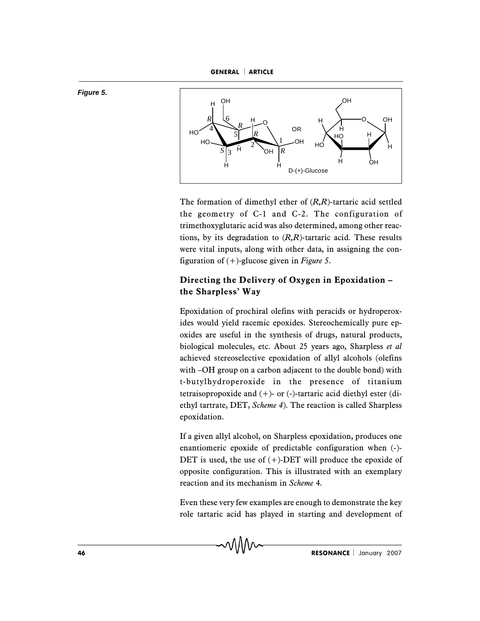**Figure 5.**



The formation of dimethyl ether of (*R,R*)-tartaric acid settled the geometry of C-1 and C-2. The configuration of trimethoxyglutaric acid was also determined, among other reactions, by its degradation to  $(R, R)$ -tartaric acid. These results were vital inputs, along with other data, in assigning the configuration of (+)-glucose given in *Figure 5*.

# Directing the Delivery of Oxygen in Epoxidation **the Sharplessí Way**

Epoxidation of prochiral olefins with peracids or hydroperoxides would yield racemic epoxides. Stereochemically pure epoxides are useful in the synthesis of drugs, natural products, biological molecules, etc. About 25 years ago, Sharpless *et al* achieved stereoselective epoxidation of allyl alcohols (olefins with  $-OH$  group on a carbon adjacent to the double bond) with t-butylhydroperoxide in the presence of titanium tetraisopropoxide and  $(+)$ - or  $(-)$ -tartaric acid diethyl ester  $(di-)$ ethyl tartrate, DET, *Scheme 4*). The reaction is called Sharpless epoxidation.

If a given allyl alcohol, on Sharpless epoxidation, produces one enantiomeric epoxide of predictable configuration when (-)- DET is used, the use of  $(+)$ -DET will produce the epoxide of opposite configuration. This is illustrated with an exemplary reaction and its mechanism in *Scheme* 4.

Even these very few examples are enough to demonstrate the key role tartaric acid has played in starting and development of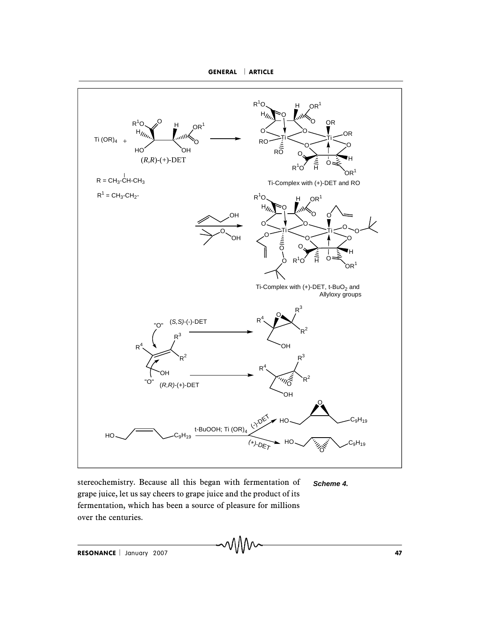



stereochemistry. Because all this began with fermentation of grape juice, let us say cheers to grape juice and the product of its fermentation, which has been a source of pleasure for millions over the centuries. **Scheme 4.**